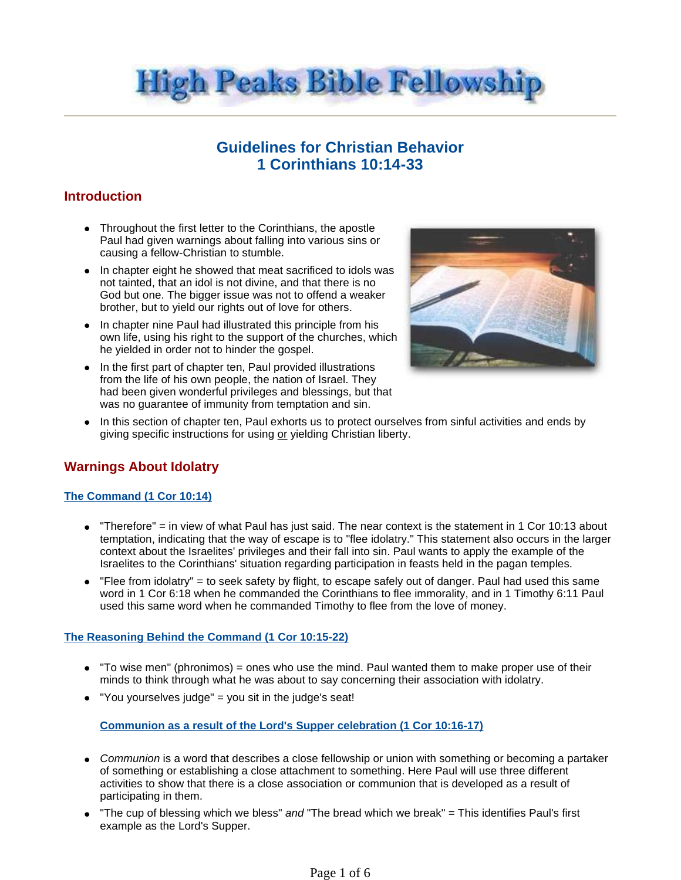

# **Guidelines for Christian Behavior 1 Corinthians 10:14-33**

## **Introduction**

- Throughout the first letter to the Corinthians, the apostle Paul had given warnings about falling into various sins or causing a fellow-Christian to stumble.
- In chapter eight he showed that meat sacrificed to idols was not tainted, that an idol is not divine, and that there is no God but one. The bigger issue was not to offend a weaker brother, but to yield our rights out of love for others.
- In chapter nine Paul had illustrated this principle from his own life, using his right to the support of the churches, which he yielded in order not to hinder the gospel.
- In the first part of chapter ten, Paul provided illustrations from the life of his own people, the nation of Israel. They had been given wonderful privileges and blessings, but that was no guarantee of immunity from temptation and sin.



• In this section of chapter ten, Paul exhorts us to protect ourselves from sinful activities and ends by giving specific instructions for using or yielding Christian liberty.

# **Warnings About Idolatry**

### **The Command (1 Cor 10:14)**

- $\bullet$  "Therefore" = in view of what Paul has just said. The near context is the statement in 1 Cor 10:13 about temptation, indicating that the way of escape is to "flee idolatry." This statement also occurs in the larger context about the Israelites' privileges and their fall into sin. Paul wants to apply the example of the Israelites to the Corinthians' situation regarding participation in feasts held in the pagan temples.
- $\bullet$  "Flee from idolatry" = to seek safety by flight, to escape safely out of danger. Paul had used this same word in 1 Cor 6:18 when he commanded the Corinthians to flee immorality, and in 1 Timothy 6:11 Paul used this same word when he commanded Timothy to flee from the love of money.

### **The Reasoning Behind the Command (1 Cor 10:15-22)**

- $\bullet$  "To wise men" (phronimos) = ones who use the mind. Paul wanted them to make proper use of their minds to think through what he was about to say concerning their association with idolatry.
- "You yourselves judge" = you sit in the judge's seat!

**Communion as a result of the Lord's Supper celebration (1 Cor 10:16-17)**

- Communion is a word that describes a close fellowship or union with something or becoming a partaker of something or establishing a close attachment to something. Here Paul will use three different activities to show that there is a close association or communion that is developed as a result of participating in them.
- "The cup of blessing which we bless" and "The bread which we break" = This identifies Paul's first example as the Lord's Supper.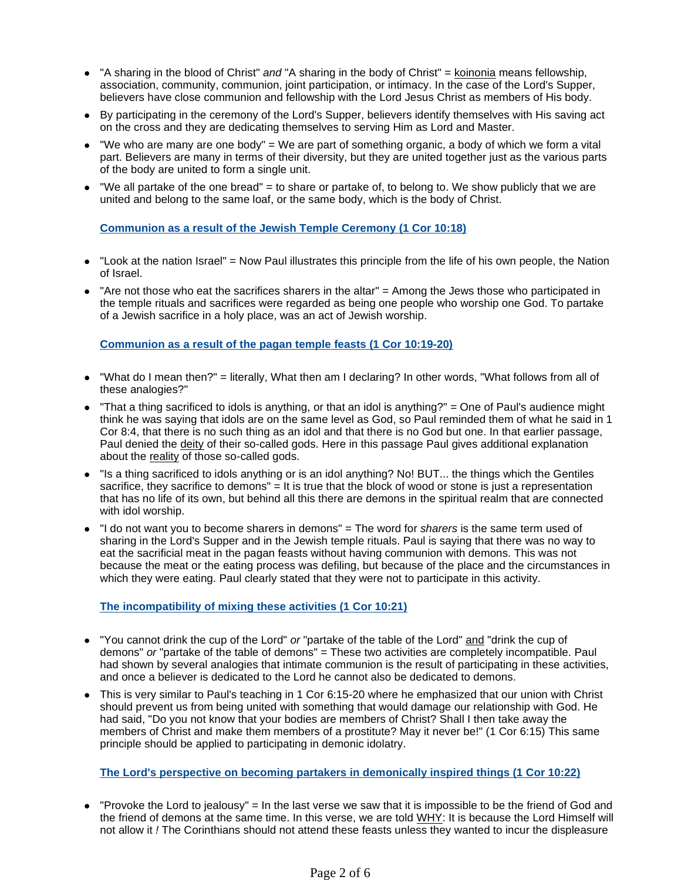- "A sharing in the blood of Christ" and "A sharing in the body of Christ" = koinonia means fellowship, association, community, communion, joint participation, or intimacy. In the case of the Lord's Supper, believers have close communion and fellowship with the Lord Jesus Christ as members of His body.
- By participating in the ceremony of the Lord's Supper, believers identify themselves with His saving act on the cross and they are dedicating themselves to serving Him as Lord and Master.
- $\bullet$  "We who are many are one body" = We are part of something organic, a body of which we form a vital part. Believers are many in terms of their diversity, but they are united together just as the various parts of the body are united to form a single unit.
- $\bullet$  "We all partake of the one bread" = to share or partake of, to belong to. We show publicly that we are united and belong to the same loaf, or the same body, which is the body of Christ.

### **Communion as a result of the Jewish Temple Ceremony (1 Cor 10:18)**

- $\bullet$  "Look at the nation Israel" = Now Paul illustrates this principle from the life of his own people, the Nation of Israel.
- $\bullet$  "Are not those who eat the sacrifices sharers in the altar" = Among the Jews those who participated in the temple rituals and sacrifices were regarded as being one people who worship one God. To partake of a Jewish sacrifice in a holy place, was an act of Jewish worship.

#### **Communion as a result of the pagan temple feasts (1 Cor 10:19-20)**

- "What do I mean then?" = literally, What then am I declaring? In other words, "What follows from all of these analogies?"
- "That a thing sacrificed to idols is anything, or that an idol is anything?" = One of Paul's audience might think he was saying that idols are on the same level as God, so Paul reminded them of what he said in 1 Cor 8:4, that there is no such thing as an idol and that there is no God but one. In that earlier passage, Paul denied the deity of their so-called gods. Here in this passage Paul gives additional explanation about the reality of those so-called gods.
- "Is a thing sacrificed to idols anything or is an idol anything? No! BUT... the things which the Gentiles sacrifice, they sacrifice to demons" = It is true that the block of wood or stone is just a representation that has no life of its own, but behind all this there are demons in the spiritual realm that are connected with idol worship.
- "I do not want you to become sharers in demons" = The word for sharers is the same term used of sharing in the Lord's Supper and in the Jewish temple rituals. Paul is saying that there was no way to eat the sacrificial meat in the pagan feasts without having communion with demons. This was not because the meat or the eating process was defiling, but because of the place and the circumstances in which they were eating. Paul clearly stated that they were not to participate in this activity.

### **The incompatibility of mixing these activities (1 Cor 10:21)**

- "You cannot drink the cup of the Lord" or "partake of the table of the Lord" and "drink the cup of demons" or "partake of the table of demons" = These two activities are completely incompatible. Paul had shown by several analogies that intimate communion is the result of participating in these activities, and once a believer is dedicated to the Lord he cannot also be dedicated to demons.
- This is very similar to Paul's teaching in 1 Cor 6:15-20 where he emphasized that our union with Christ should prevent us from being united with something that would damage our relationship with God. He had said, "Do you not know that your bodies are members of Christ? Shall I then take away the members of Christ and make them members of a prostitute? May it never be!" (1 Cor 6:15) This same principle should be applied to participating in demonic idolatry.

### **The Lord's perspective on becoming partakers in demonically inspired things (1 Cor 10:22)**

 "Provoke the Lord to jealousy" = In the last verse we saw that it is impossible to be the friend of God and the friend of demons at the same time. In this verse, we are told WHY: It is because the Lord Himself will not allow it ! The Corinthians should not attend these feasts unless they wanted to incur the displeasure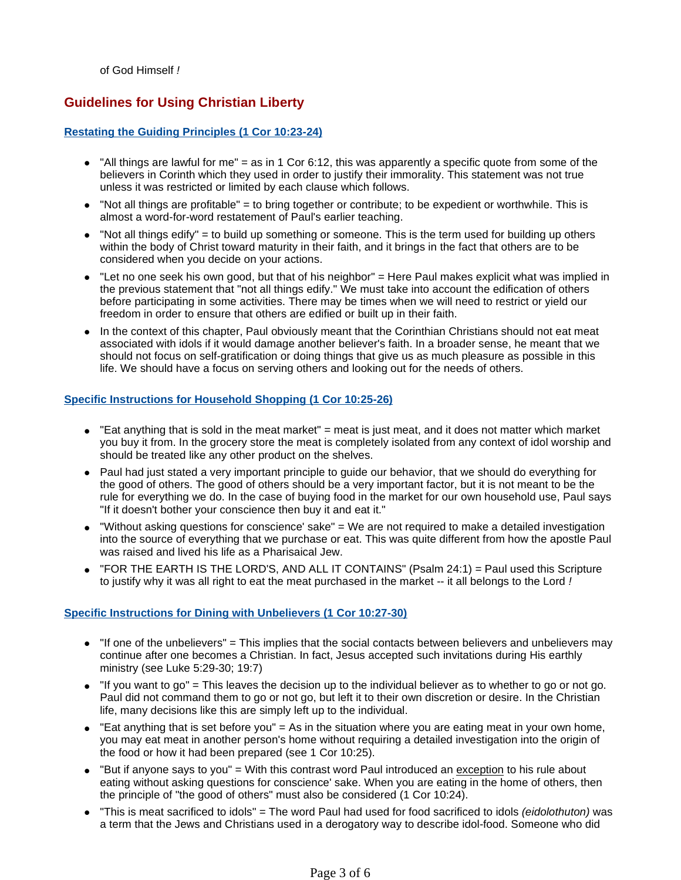of God Himself !

### **Guidelines for Using Christian Liberty**

#### **Restating the Guiding Principles (1 Cor 10:23-24)**

- $\bullet$  "All things are lawful for me" = as in 1 Cor 6:12, this was apparently a specific quote from some of the believers in Corinth which they used in order to justify their immorality. This statement was not true unless it was restricted or limited by each clause which follows.
- $\bullet$  "Not all things are profitable" = to bring together or contribute; to be expedient or worthwhile. This is almost a word-for-word restatement of Paul's earlier teaching.
- "Not all things edify" = to build up something or someone. This is the term used for building up others within the body of Christ toward maturity in their faith, and it brings in the fact that others are to be considered when you decide on your actions.
- "Let no one seek his own good, but that of his neighbor" = Here Paul makes explicit what was implied in the previous statement that "not all things edify." We must take into account the edification of others before participating in some activities. There may be times when we will need to restrict or yield our freedom in order to ensure that others are edified or built up in their faith.
- In the context of this chapter, Paul obviously meant that the Corinthian Christians should not eat meat associated with idols if it would damage another believer's faith. In a broader sense, he meant that we should not focus on self-gratification or doing things that give us as much pleasure as possible in this life. We should have a focus on serving others and looking out for the needs of others.

### **Specific Instructions for Household Shopping (1 Cor 10:25-26)**

- $\bullet$  "Eat anything that is sold in the meat market" = meat is just meat, and it does not matter which market you buy it from. In the grocery store the meat is completely isolated from any context of idol worship and should be treated like any other product on the shelves.
- Paul had just stated a very important principle to quide our behavior, that we should do everything for the good of others. The good of others should be a very important factor, but it is not meant to be the rule for everything we do. In the case of buying food in the market for our own household use, Paul says "If it doesn't bother your conscience then buy it and eat it."
- "Without asking questions for conscience' sake" = We are not required to make a detailed investigation into the source of everything that we purchase or eat. This was quite different from how the apostle Paul was raised and lived his life as a Pharisaical Jew.
- "FOR THE EARTH IS THE LORD'S, AND ALL IT CONTAINS" (Psalm 24:1) = Paul used this Scripture to justify why it was all right to eat the meat purchased in the market -- it all belongs to the Lord !

### **Specific Instructions for Dining with Unbelievers (1 Cor 10:27-30)**

- $\bullet$  "If one of the unbelievers" = This implies that the social contacts between believers and unbelievers may continue after one becomes a Christian. In fact, Jesus accepted such invitations during His earthly ministry (see Luke 5:29-30; 19:7)
- $\bullet$  "If you want to go" = This leaves the decision up to the individual believer as to whether to go or not go. Paul did not command them to go or not go, but left it to their own discretion or desire. In the Christian life, many decisions like this are simply left up to the individual.
- $\bullet$  "Eat anything that is set before you" = As in the situation where you are eating meat in your own home, you may eat meat in another person's home without requiring a detailed investigation into the origin of the food or how it had been prepared (see 1 Cor 10:25).
- "But if anyone says to you" = With this contrast word Paul introduced an exception to his rule about eating without asking questions for conscience' sake. When you are eating in the home of others, then the principle of "the good of others" must also be considered (1 Cor 10:24).
- "This is meat sacrificed to idols" = The word Paul had used for food sacrificed to idols (eidolothuton) was a term that the Jews and Christians used in a derogatory way to describe idol-food. Someone who did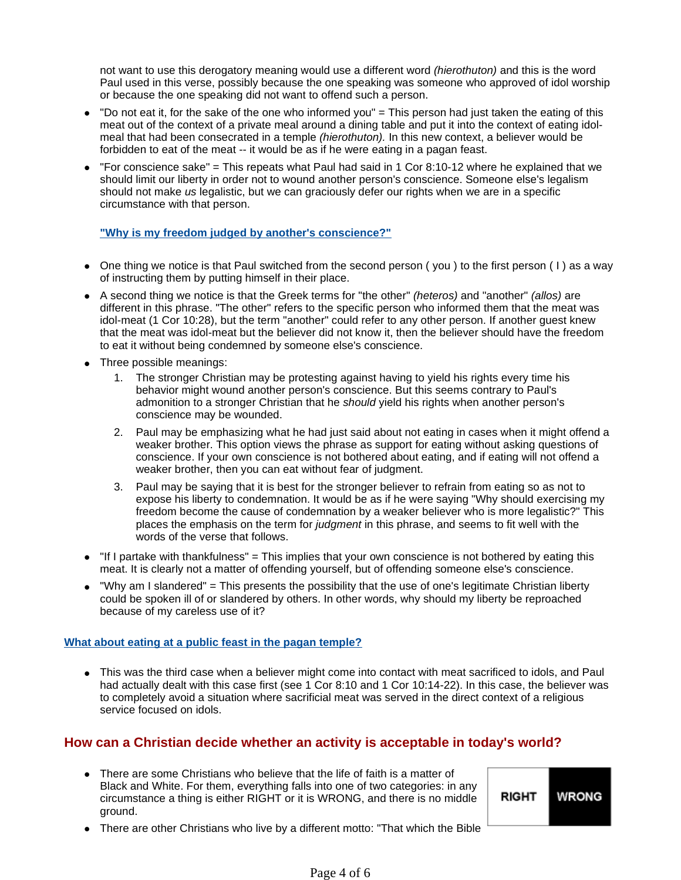not want to use this derogatory meaning would use a different word (hierothuton) and this is the word Paul used in this verse, possibly because the one speaking was someone who approved of idol worship or because the one speaking did not want to offend such a person.

- "Do not eat it, for the sake of the one who informed you" = This person had just taken the eating of this meat out of the context of a private meal around a dining table and put it into the context of eating idolmeal that had been consecrated in a temple *(hierothuton)*. In this new context, a believer would be forbidden to eat of the meat -- it would be as if he were eating in a pagan feast.
- $\bullet$  "For conscience sake" = This repeats what Paul had said in 1 Cor 8:10-12 where he explained that we should limit our liberty in order not to wound another person's conscience. Someone else's legalism should not make us legalistic, but we can graciously defer our rights when we are in a specific circumstance with that person.

### **"Why is my freedom judged by another's conscience?"**

- One thing we notice is that Paul switched from the second person (you) to the first person (1) as a way of instructing them by putting himself in their place.
- A second thing we notice is that the Greek terms for "the other" (heteros) and "another" (allos) are different in this phrase. "The other" refers to the specific person who informed them that the meat was idol-meat (1 Cor 10:28), but the term "another" could refer to any other person. If another guest knew that the meat was idol-meat but the believer did not know it, then the believer should have the freedom to eat it without being condemned by someone else's conscience.
- Three possible meanings:
	- 1. The stronger Christian may be protesting against having to yield his rights every time his behavior might wound another person's conscience. But this seems contrary to Paul's admonition to a stronger Christian that he should yield his rights when another person's conscience may be wounded.
	- 2. Paul may be emphasizing what he had just said about not eating in cases when it might offend a weaker brother. This option views the phrase as support for eating without asking questions of conscience. If your own conscience is not bothered about eating, and if eating will not offend a weaker brother, then you can eat without fear of judgment.
	- 3. Paul may be saying that it is best for the stronger believer to refrain from eating so as not to expose his liberty to condemnation. It would be as if he were saying "Why should exercising my freedom become the cause of condemnation by a weaker believer who is more legalistic?" This places the emphasis on the term for judgment in this phrase, and seems to fit well with the words of the verse that follows.
- $\bullet$  "If I partake with thankfulness" = This implies that your own conscience is not bothered by eating this meat. It is clearly not a matter of offending yourself, but of offending someone else's conscience.
- "Why am I slandered" = This presents the possibility that the use of one's legitimate Christian liberty could be spoken ill of or slandered by others. In other words, why should my liberty be reproached because of my careless use of it?

### **What about eating at a public feast in the pagan temple?**

 This was the third case when a believer might come into contact with meat sacrificed to idols, and Paul had actually dealt with this case first (see 1 Cor 8:10 and 1 Cor 10:14-22). In this case, the believer was to completely avoid a situation where sacrificial meat was served in the direct context of a religious service focused on idols.

### **How can a Christian decide whether an activity is acceptable in today's world?**

 There are some Christians who believe that the life of faith is a matter of Black and White. For them, everything falls into one of two categories: in any circumstance a thing is either RIGHT or it is WRONG, and there is no middle ground.

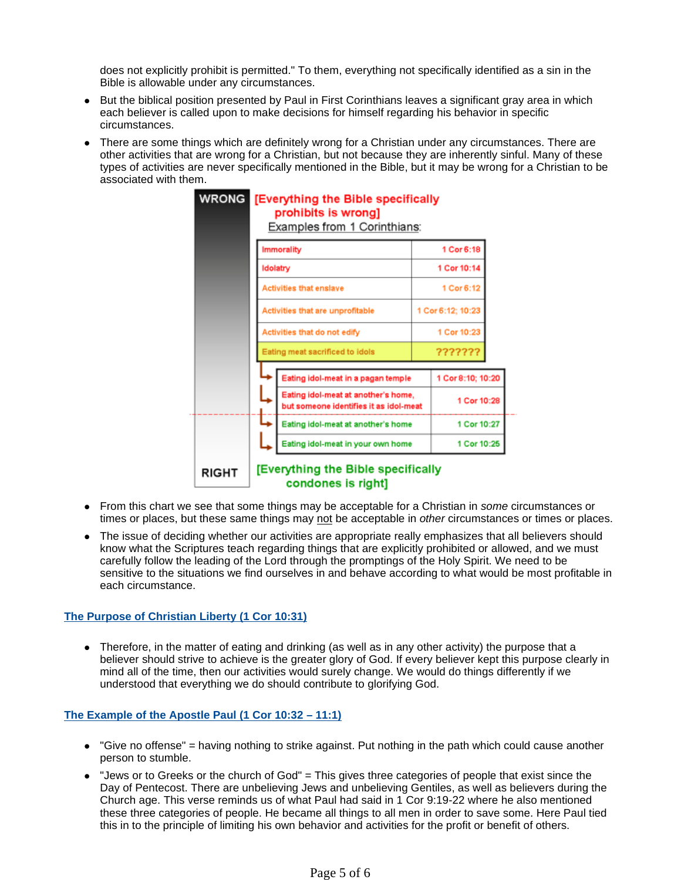does not explicitly prohibit is permitted." To them, everything not specifically identified as a sin in the Bible is allowable under any circumstances.

- But the biblical position presented by Paul in First Corinthians leaves a significant gray area in which each believer is called upon to make decisions for himself regarding his behavior in specific circumstances.
- There are some things which are definitely wrong for a Christian under any circumstances. There are other activities that are wrong for a Christian, but not because they are inherently sinful. Many of these types of activities are never specifically mentioned in the Bible, but it may be wrong for a Christian to be associated with them.

| <b>WRONG</b> |                                                                               | [Everything the Bible specifically<br>prohibits is wrong]<br>Examples from 1 Corinthians: |             |                   |  |
|--------------|-------------------------------------------------------------------------------|-------------------------------------------------------------------------------------------|-------------|-------------------|--|
|              |                                                                               | <b>Immorality</b>                                                                         | 1 Cor 6:18  |                   |  |
|              |                                                                               | Idolatry                                                                                  | 1 Cor 10:14 |                   |  |
|              | <b>Activities that enslave</b><br>Activities that are unprofitable            |                                                                                           |             | 1 Cor 6:12        |  |
|              |                                                                               |                                                                                           |             | 1 Cor 6:12; 10:23 |  |
|              |                                                                               | Activities that do not edify                                                              | 1 Cor 10:23 |                   |  |
|              |                                                                               | Eating meat sacrificed to idols                                                           |             | ???????           |  |
|              |                                                                               | Eating idol-meat in a pagan temple                                                        |             | 1 Cor 8:10; 10:20 |  |
|              | Eating idol-meat at another's home,<br>but someone identifies it as idol-meat |                                                                                           |             | 1 Cor 10:28       |  |
|              |                                                                               | Eating idol-meat at another's home                                                        |             | 1 Cor 10:27       |  |
|              |                                                                               | Eating idol-meat in your own home                                                         |             | 1 Cor 10:25       |  |
| RIGHT        |                                                                               | [Everything the Bible specifically<br>condones is right]                                  |             |                   |  |

- From this chart we see that some things may be acceptable for a Christian in some circumstances or times or places, but these same things may not be acceptable in other circumstances or times or places.
- The issue of deciding whether our activities are appropriate really emphasizes that all believers should know what the Scriptures teach regarding things that are explicitly prohibited or allowed, and we must carefully follow the leading of the Lord through the promptings of the Holy Spirit. We need to be sensitive to the situations we find ourselves in and behave according to what would be most profitable in each circumstance.

### **The Purpose of Christian Liberty (1 Cor 10:31)**

• Therefore, in the matter of eating and drinking (as well as in any other activity) the purpose that a believer should strive to achieve is the greater glory of God. If every believer kept this purpose clearly in mind all of the time, then our activities would surely change. We would do things differently if we understood that everything we do should contribute to glorifying God.

### **The Example of the Apostle Paul (1 Cor 10:32 – 11:1)**

- "Give no offense" = having nothing to strike against. Put nothing in the path which could cause another person to stumble.
- "Jews or to Greeks or the church of God" = This gives three categories of people that exist since the Day of Pentecost. There are unbelieving Jews and unbelieving Gentiles, as well as believers during the Church age. This verse reminds us of what Paul had said in 1 Cor 9:19-22 where he also mentioned these three categories of people. He became all things to all men in order to save some. Here Paul tied this in to the principle of limiting his own behavior and activities for the profit or benefit of others.